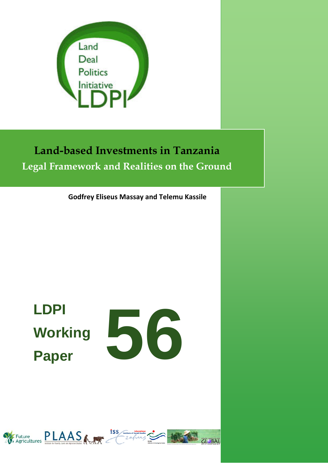

# **Land-based Investments in Tanzania Legal Framework and Realities on the Ground**

**Godfrey Eliseus Massay and Telemu Kassile**

# **LDPI Working Paper**



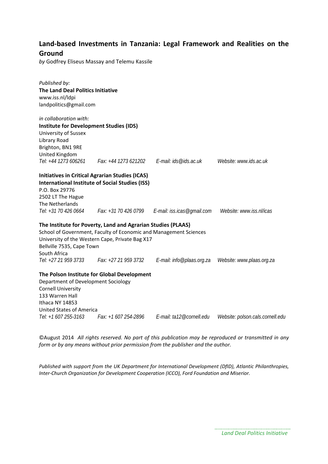### **Land-based Investments in Tanzania: Legal Framework and Realities on the Ground**

*by* Godfrey Eliseus Massay and Telemu Kassile

| Published by:                                  |                                                                   |                                                   |                                  |
|------------------------------------------------|-------------------------------------------------------------------|---------------------------------------------------|----------------------------------|
| The Land Deal Politics Initiative              |                                                                   |                                                   |                                  |
| www.iss.nl/ldpi                                |                                                                   |                                                   |                                  |
| landpolitics@gmail.com                         |                                                                   |                                                   |                                  |
| in collaboration with:                         |                                                                   |                                                   |                                  |
| <b>Institute for Development Studies (IDS)</b> |                                                                   |                                                   |                                  |
| University of Sussex                           |                                                                   |                                                   |                                  |
| Library Road                                   |                                                                   |                                                   |                                  |
| Brighton, BN1 9RE                              |                                                                   |                                                   |                                  |
| United Kingdom                                 |                                                                   |                                                   |                                  |
| Tel: +44 1273 606261                           |                                                                   | Fax: +44 1273 621202   E-mail: ids@ids.ac.uk      | Website: www.ids.ac.uk           |
|                                                | <b>Initiatives in Critical Agrarian Studies (ICAS)</b>            |                                                   |                                  |
|                                                | <b>International Institute of Social Studies (ISS)</b>            |                                                   |                                  |
| P.O. Box 29776                                 |                                                                   |                                                   |                                  |
| 2502 LT The Hague                              |                                                                   |                                                   |                                  |
| The Netherlands                                |                                                                   |                                                   |                                  |
| Tel: +31 70 426 0664                           |                                                                   | Fax: $+31$ 70 426 0799 E-mail: iss.icas@gmail.com | Website: www.iss.nl/icas         |
|                                                | The Institute for Poverty, Land and Agrarian Studies (PLAAS)      |                                                   |                                  |
|                                                | School of Government, Faculty of Economic and Management Sciences |                                                   |                                  |
|                                                | University of the Western Cape, Private Bag X17                   |                                                   |                                  |
| Bellville 7535, Cape Town                      |                                                                   |                                                   |                                  |
| South Africa                                   |                                                                   |                                                   |                                  |
| Tel: +27 21 959 3733                           | Fax: +27 21 959 3732                                              | E-mail: info@plaas.org.za                         | Website: www.plaas.org.za        |
|                                                | The Polson Institute for Global Development                       |                                                   |                                  |
| Department of Development Sociology            |                                                                   |                                                   |                                  |
| <b>Cornell University</b>                      |                                                                   |                                                   |                                  |
| 133 Warren Hall                                |                                                                   |                                                   |                                  |
| Ithaca NY 14853                                |                                                                   |                                                   |                                  |
| <b>United States of America</b>                |                                                                   |                                                   |                                  |
| Tel: +1 607 255-3163                           | Fax: +1 607 254-2896                                              | E-mail: ta12@cornell.edu                          | Website: polson.cals.cornell.edu |

©August 2014 *All rights reserved. No part of this publication may be reproduced or transmitted in any form or by any means without prior permission from the publisher and the author.*

*Published with support from the UK Department for International Development (DfID), Atlantic Philanthropies, Inter-Church Organization for Development Cooperation (ICCO), Ford Foundation and Miserior.*

> *Land Deal Politics Initiative*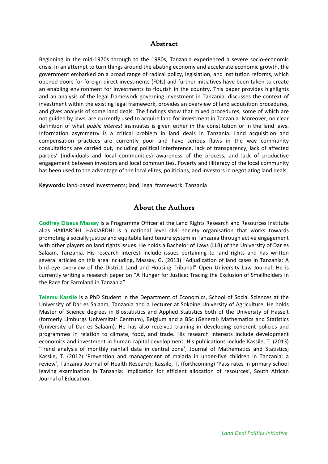#### Abstract

Beginning in the mid-1970s through to the 1980s, Tanzania experienced a severe socio-economic crisis. In an attempt to turn things around the abating economy and accelerate economic growth, the government embarked on a broad range of radical policy, legislation, and institution reforms, which opened doors for foreign direct investments (FDIs) and further initiatives have been taken to create an enabling environment for investments to flourish in the country. This paper provides highlights and an analysis of the legal framework governing investment in Tanzania, discusses the context of investment within the existing legal framework, provides an overview of land acquisition procedures, and gives analysis of some land deals. The findings show that mixed procedures, some of which are not guided by laws, are currently used to acquire land for investment in Tanzania. Moreover, no clear definition of what *public interest* insinuates is given either in the constitution or in the land laws. Information asymmetry is a critical problem in land deals in Tanzania. Land acquisition and compensation practices are currently poor and have serious flaws in the way community consultations are carried out, including political interference, lack of transparency, lack of affected parties' (individuals and local communities) awareness of the process, and lack of productive engagement between investors and local communities. Poverty and illiteracy of the local community has been used to the advantage of the local elites, politicians, and investors in negotiating land deals.

**Keywords:** land-based investments; land; legal framework; Tanzania

#### About the Authors

**Godfrey Eliseus Massay** is a Programme Officer at the Land Rights Research and Resources Institute alias HAKIARDHI. HAKIARDHI is a national level civil society organisation that works towards promoting a socially justice and equitable land tenure system in Tanzania through active engagement with other players on land rights issues. He holds a Bachelor of Laws (LLB) of the University of Dar es Salaam, Tanzania. His research interest include issues pertaining to land rights and has written several articles on this area including, Massay, G. (2013) "Adjudication of land cases in Tanzania: A bird eye overview of the District Land and Housing Tribunal" Open University Law Journal. He is currently writing a research paper on "A Hunger for Justice; Tracing the Exclusion of Smallholders in the Race for Farmland in Tanzania".

**Telemu Kassile** is a PhD Student in the Department of Economics, School of Social Sciences at the University of Dar es Salaam, Tanzania and a Lecturer at Sokoine University of Agriculture. He holds Master of Science degrees in Biostatistics and Applied Statistics both of the University of Hasselt (formerly Limburgs Universitair Centrum), Belgium and a BSc (General) Mathematics and Statistics (University of Dar es Salaam). He has also received training in developing coherent policies and programmes in relation to climate, food, and trade. His research interests include development economics and investment in human capital development. His publications include Kassile, T. (2013) 'Trend analysis of monthly rainfall data in central zone', Journal of Mathematics and Statistics; Kassile, T. (2012) 'Prevention and management of malaria in under-five children in Tanzania: a review', Tanzania Journal of Health Research; Kassile, T. (forthcoming) 'Pass rates in primary school leaving examination in Tanzania: implication for efficient allocation of resources', South African Journal of Education.

> *Land Deal Politics Initiative*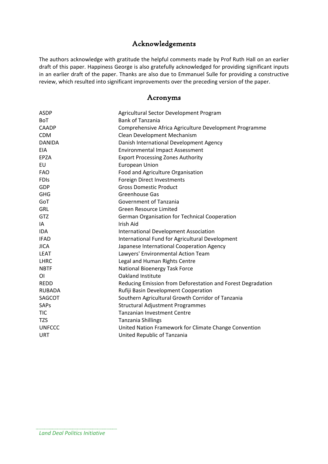## Acknowledgements

The authors acknowledge with gratitude the helpful comments made by Prof Ruth Hall on an earlier draft of this paper. Happiness George is also gratefully acknowledged for providing significant inputs in an earlier draft of the paper. Thanks are also due to Emmanuel Sulle for providing a constructive review, which resulted into significant improvements over the preceding version of the paper.

#### Acronyms

| Agricultural Sector Development Program                     |
|-------------------------------------------------------------|
| <b>Bank of Tanzania</b>                                     |
| Comprehensive Africa Agriculture Development Programme      |
| Clean Development Mechanism                                 |
| Danish International Development Agency                     |
| <b>Environmental Impact Assessment</b>                      |
| <b>Export Processing Zones Authority</b>                    |
| <b>European Union</b>                                       |
| Food and Agriculture Organisation                           |
| Foreign Direct Investments                                  |
| <b>Gross Domestic Product</b>                               |
| Greenhouse Gas                                              |
| Government of Tanzania                                      |
| Green Resource Limited                                      |
| German Organisation for Technical Cooperation               |
| <b>Irish Aid</b>                                            |
| <b>International Development Association</b>                |
| International Fund for Agricultural Development             |
| Japanese International Cooperation Agency                   |
| Lawyers' Environmental Action Team                          |
| Legal and Human Rights Centre                               |
| National Bioenergy Task Force                               |
| Oakland Institute                                           |
| Reducing Emission from Deforestation and Forest Degradation |
| Rufiji Basin Development Cooperation                        |
| Southern Agricultural Growth Corridor of Tanzania           |
| <b>Structural Adjustment Programmes</b>                     |
| <b>Tanzanian Investment Centre</b>                          |
| <b>Tanzania Shillings</b>                                   |
| United Nation Framework for Climate Change Convention       |
| United Republic of Tanzania                                 |
|                                                             |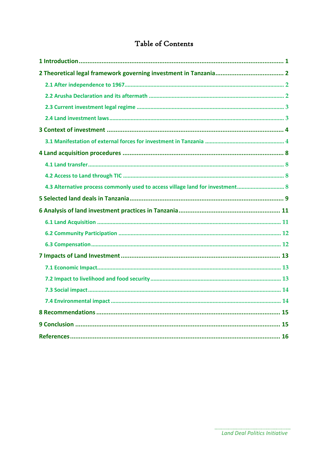# Table of Contents

| 4.3 Alternative process commonly used to access village land for investment 8 |  |
|-------------------------------------------------------------------------------|--|
|                                                                               |  |
|                                                                               |  |
|                                                                               |  |
|                                                                               |  |
|                                                                               |  |
|                                                                               |  |
|                                                                               |  |
|                                                                               |  |
|                                                                               |  |
|                                                                               |  |
|                                                                               |  |
|                                                                               |  |
|                                                                               |  |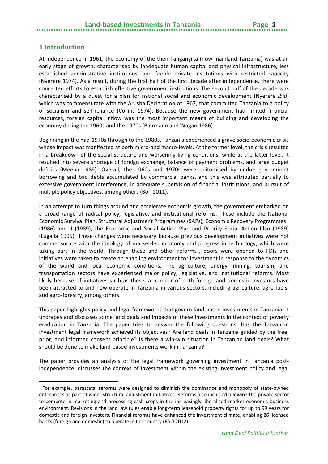### <span id="page-6-0"></span>**1 Introduction**

At independence in 1961, the economy of the then Tanganyika (now mainland Tanzania) was at an early stage of growth, characterised by inadequate human capital and physical infrastructure, less established administrative institutions, and feeble private institutions with restricted capacity (Nyerere 1974). As a result, during the first half of the first decade after independence, there were concerted efforts to establish effective government institutions. The second half of the decade was characterised by a quest for a plan for national social and economic development (Nyerere *ibid*) which was commensurate with the Arusha Declaration of 1967, that committed Tanzania to a policy of socialism and self-reliance (Collins 1974). Because the new government had limited financial resources, foreign capital inflow was the most important means of building and developing the economy during the 1960s and the 1970s (Biermann and Wagao 1986).

Beginning in the mid-1970s through to the 1980s, Tanzania experienced a grave socio-economic crisis whose impact was manifested at both micro-and macro-levels. At the former level, the crisis resulted in a breakdown of the social structure and worsening living conditions, while at the latter level, it resulted into severe shortage of foreign exchange, balance of payment problems, and large budget deficits (Meena 1989). Overall, the 1960s and 1970s were epitomised by undue government borrowing and bad debts accumulated by commercial banks, and this was attributed partially to excessive government interference, in adequate supervision of financial institutions, and pursuit of multiple policy objectives, among others (BoT 2011).

In an attempt to turn things around and accelerate economic growth, the government embarked on a broad range of radical policy, legislative, and institutional reforms. These include the National Economic Survival Plan, Structural Adjustment Programmes (SAPs), Economic Recovery Programmes I (1986) and II (1989); the Economic and Social Action Plan and Priority Social Action Plan (1989) (Lugalla 1995). These changes were necessary because previous development initiatives were not commensurate with the ideology of market-led economy and progress in technology, which were taking part in the world. Through these and other reforms<sup>[1](#page-6-1)</sup>, doors were opened to FDIs and initiatives were taken to create an enabling environment for investment in response to the dynamics of the world and local economic conditions. The agriculture, energy, mining, tourism, and transportation sectors have experienced major policy, legislative, and institutional reforms. Most likely because of initiatives such as these, a number of both foreign and domestic investors have been attracted to and now operate in Tanzania in various sectors, including agriculture, agro-fuels, and agro-forestry, among others.

This paper highlights policy and legal frameworks that govern land-based investments in Tanzania. It undrapes and discusses some land deals and impacts of these investments in the context of poverty eradication in Tanzania. The paper tries to answer the following questions: Has the Tanzanian investment legal framework achieved its objectives? Are land deals in Tanzania guided by the free, prior, and informed consent principle? Is there a win-win situation in Tanzanian land deals? What should be done to make land-based investments work in Tanzania?

The paper provides an analysis of the legal framework governing investment in Tanzania postindependence, discusses the context of investment within the existing investment policy and legal

<span id="page-6-1"></span> $1$  For example, parastatal reforms were designed to diminish the dominance and monopoly of state-owned enterprises as part of wider structural adjustment initiatives. Reforms also included allowing the private sector to compete in marketing and processing cash crops in the increasingly liberalised market economic business environment. Revisions in the land law rules enable long-term leasehold property rights for up to 99 years for domestic and foreign investors. Financial reforms have enhanced the investment climate, enabling 26 licensed banks (foreign and domestic) to operate in the country (FAO 2012).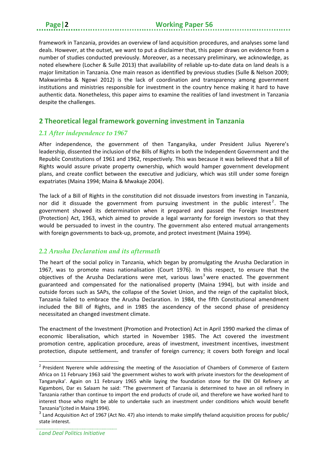framework in Tanzania, provides an overview of land acquisition procedures, and analyses some land deals. However, at the outset, we want to put a disclaimer that, this paper draws on evidence from a number of studies conducted previously. Moreover, as a necessary preliminary, we acknowledge, as noted elsewhere (Locher & Sulle 2013) that availability of reliable up-to-date data on land deals is a major limitation in Tanzania. One main reason as identified by previous studies (Sulle & Nelson 2009; Makwarimba & Ngowi 2012) is the lack of coordination and transparency among government institutions and ministries responsible for investment in the country hence making it hard to have authentic data. Nonetheless, this paper aims to examine the realities of land investment in Tanzania despite the challenges.

### <span id="page-7-0"></span>**2 Theoretical legal framework governing investment in Tanzania**

#### <span id="page-7-1"></span>*2.1 After independence to 1967*

After independence, the government of then Tanganyika, under President Julius Nyerere's leadership, dissented the inclusion of the Bills of Rights in both the Independent Government and the Republic Constitutions of 1961 and 1962, respectively. This was because it was believed that a Bill of Rights would assure private property ownership, which would hamper government development plans, and create conflict between the executive and judiciary, which was still under some foreign expatriates (Maina 1994; Maina & Mwakaje 2004).

The lack of a Bill of Rights in the constitution did not dissuade investors from investing in Tanzania, nor did it dissuade the government from pursuing investment in the public interest<sup>[2](#page-7-3)</sup>. The government showed its determination when it prepared and passed the Foreign Investment (Protection) Act, 1963, which aimed to provide a legal warranty for foreign investors so that they would be persuaded to invest in the country. The government also entered mutual arrangements with foreign governments to back-up, promote, and protect investment (Maina 1994).

#### <span id="page-7-2"></span>*2.2 Arusha Declaration and its aftermath*

The heart of the social policy in Tanzania, which began by promulgating the Arusha Declaration in 1967, was to promote mass nationalisation (Court 1976). In this respect, to ensure that the objectives of the Arusha Declarations were met, various laws<sup>[3](#page-7-4)</sup> were enacted. The government guaranteed and compensated for the nationalised property (Maina 1994), but with inside and outside forces such as SAPs, the collapse of the Soviet Union, and the reign of the capitalist block, Tanzania failed to embrace the Arusha Declaration. In 1984, the fifth Constitutional amendment included the Bill of Rights, and in 1985 the ascendency of the second phase of presidency necessitated an changed investment climate.

The enactment of the Investment (Promotion and Protection) Act in April 1990 marked the climax of economic liberalisation, which started in November 1985. The Act covered the investment promotion centre, application procedure, areas of investment, investment incentives, investment protection, dispute settlement, and transfer of foreign currency; it covers both foreign and local

<span id="page-7-3"></span><sup>&</sup>lt;sup>2</sup> President Nyerere while addressing the meeting of the Association of Chambers of Commerce of Eastern Africa on 11 February 1963 said 'the government wishes to work with private investors for the development of Tanganyika'. Again on 11 February 1965 while laying the foundation stone for the ENI Oil Refinery at Kigamboni, Dar es Salaam he said: "The government of Tanzania is determined to have an oil refinery in Tanzania rather than continue to import the end products of crude oil, and therefore we have worked hard to interest those who might be able to undertake such an investment under conditions which would benefit Tanzania"(cited in Maina 1994).

<span id="page-7-4"></span><sup>&</sup>lt;sup>3</sup> Land Acquisition Act of 1967 (Act No. 47) also intends to make simplify theland acquisition process for public/ state interest.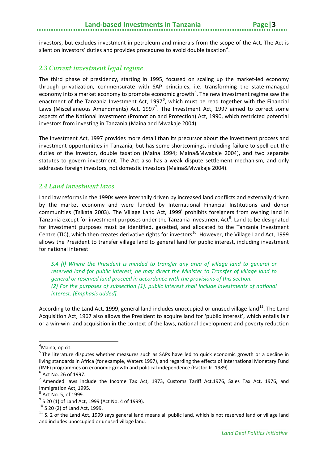investors, but excludes investment in petroleum and minerals from the scope of the Act. The Act is silent on investors' duties and provides procedures to avoid double taxation<sup>[4](#page-8-2)</sup>.

#### <span id="page-8-0"></span>*2.3 Current investment legal regime*

The third phase of presidency, starting in 1995, focused on scaling up the market-led economy through privatization, commensurate with SAP principles, i.e. transforming the state-managed economy into a market economy to promote economic growth<sup>[5](#page-8-3)</sup>. The new investment regime saw the enactment of the Tanzania Investment Act, 1997 $^6$  $^6$ , which must be read together with the Financial Laws (Miscellaneous Amendments) Act,  $1997^7$  $1997^7$  $1997^7$ . The Investment Act, 1997 aimed to correct some aspects of the National Investment (Promotion and Protection) Act, 1990, which restricted potential investors from investing in Tanzania (Maina and Mwakaje 2004).

The Investment Act, 1997 provides more detail than its precursor about the investment process and investment opportunities in Tanzania, but has some shortcomings, including failure to spell out the duties of the investor, double taxation (Maina 1994; Maina&Mwakaje 2004), and two separate statutes to govern investment. The Act also has a weak dispute settlement mechanism, and only addresses foreign investors, not domestic investors (Maina&Mwakaje 2004).

#### <span id="page-8-1"></span>*2.4 Land investment laws*

Land law reforms in the 1990s were internally driven by increased land conflicts and externally driven by the market economy and were funded by International Financial Institutions and donor communities (Tsikata 2003). The Village Land Act, 1999<sup>[8](#page-8-6)</sup> prohibits foreigners from owning land in Tanzania except for investment purposes under the Tanzania Investment Act<sup>[9](#page-8-7)</sup>. Land to be designated for investment purposes must be identified, gazetted, and allocated to the Tanzania Investment Centre (TIC), which then creates derivative rights for investors<sup>[10](#page-8-8)</sup>. However, the Village Land Act, 1999 allows the President to transfer village land to general land for public interest, including investment for national interest:

*S.4 (I) Where the President is minded to transfer any area of village land to general or reserved land for public interest, he may direct the Minister to Transfer of village land to general or reserved land proceed in accordance with the provisions of this section. (2) For the purposes of subsection (1), public interest shall include investments of national interest. [Emphasis added].*

According to the Land Act, 1999, general land includes unoccupied or unused village land<sup>[11](#page-8-9)</sup>. The Land Acquisition Act, 1967 also allows the President to acquire land for 'public interest', which entails fair or a win-win land acquisition in the context of the laws, national development and poverty reduction

4 Maina, op cit.

<span id="page-8-3"></span><span id="page-8-2"></span><sup>&</sup>lt;sup>5</sup> The literature disputes whether measures such as SAPs have led to quick economic growth or a decline in living standards in Africa (for example, Waters 1997), and regarding the effects of International Monetary Fund (IMF) programmes on economic growth and political independence (Pastor Jr. 1989).

<span id="page-8-5"></span><span id="page-8-4"></span> $\frac{6}{7}$  Act No. 26 of 1997.<br>  $\frac{7}{7}$  Amended laws include the Income Tax Act, 1973, Customs Tariff Act,1976, Sales Tax Act, 1976, and Immigration Act, 1995.

<span id="page-8-6"></span> $8$  Act No. 5, of 1999.

<span id="page-8-7"></span> $9$  S 20 (1) of Land Act, 1999 (Act No. 4 of 1999).

<sup>10</sup> S 20 (2) of Land Act, 1999.

<span id="page-8-9"></span><span id="page-8-8"></span><sup>&</sup>lt;sup>11</sup> S. 2 of the Land Act, 1999 says general land means all public land, which is not reserved land or village land and includes unoccupied or unused village land.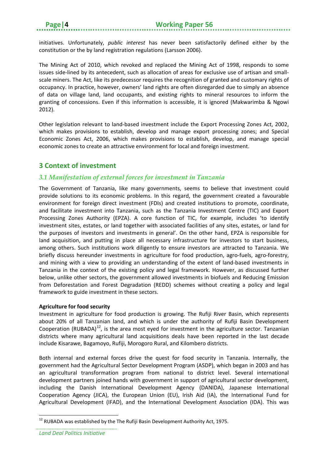initiatives. Unfortunately, *public interest* has never been satisfactorily defined either by the constitution or the by land registration regulations (Larsson 2006).

The Mining Act of 2010, which revoked and replaced the Mining Act of 1998, responds to some issues side-lined by its antecedent, such as allocation of areas for exclusive use of artisan and smallscale miners. The Act, like its predecessor requires the recognition of granted and customary rights of occupancy. In practice, however, owners' land rights are often disregarded due to simply an absence of data on village land, land occupants, and existing rights to mineral resources to inform the granting of concessions. Even if this information is accessible, it is ignored (Makwarimba & Ngowi 2012).

Other legislation relevant to land-based investment include the Export Processing Zones Act, 2002, which makes provisions to establish, develop and manage export processing zones; and Special Economic Zones Act, 2006, which makes provisions to establish, develop, and manage special economic zones to create an attractive environment for local and foreign investment.

#### <span id="page-9-0"></span>**3 Context of investment**

#### <span id="page-9-1"></span>*3.1 Manifestation of external forces for investment in Tanzania*

The Government of Tanzania, like many governments, seems to believe that investment could provide solutions to its economic problems. In this regard, the government created a favourable environment for foreign direct investment (FDIs) and created institutions to promote, coordinate, and facilitate investment into Tanzania, such as the Tanzania Investment Centre (TIC) and Export Processing Zones Authority (EPZA). A core function of TIC, for example, includes 'to identify investment sites, estates, or land together with associated facilities of any sites, estates, or land for the purposes of investors and investments in general'. On the other hand, EPZA is responsible for land acquisition, and putting in place all necessary infrastructure for investors to start business, among others. Such institutions work diligently to ensure investors are attracted to Tanzania. We briefly discuss hereunder investments in agriculture for food production, agro-fuels, agro-forestry, and mining with a view to providing an understanding of the extent of land-based investments in Tanzania in the context of the existing policy and legal framework. However, as discussed further below, unlike other sectors, the government allowed investments in biofuels and Reducing Emission from Deforestation and Forest Degradation (REDD) schemes without creating a policy and legal framework to guide investment in these sectors.

#### **Agriculture for food security**

Investment in agriculture for food production is growing. The Rufiji River Basin, which represents about 20% of all Tanzanian land, and which is under the authority of Rufiji Basin Development Cooperation (RUBADA)<sup>[12](#page-9-2)</sup>, is the area most eyed for investment in the agriculture sector. Tanzanian districts where many agricultural land acquisitions deals have been reported in the last decade include Kisarawe, Bagamoyo, Rufiji, Morogoro Rural, and Kilombero districts.

Both internal and external forces drive the quest for food security in Tanzania. Internally, the government had the Agricultural Sector Development Program (ASDP), which began in 2003 and has an agricultural transformation program from national to district level. Several international development partners joined hands with government in support of agricultural sector development, including the Danish International Development Agency (DANIDA), Japanese International Cooperation Agency (JICA), the European Union (EU), Irish Aid (IA), the International Fund for Agricultural Development (IFAD), and the International Development Association (IDA). This was

 $12$  RUBADA was established by the The Rufiji Basin Development Authority Act, 1975.

<span id="page-9-2"></span>*Land Deal Politics Initiative*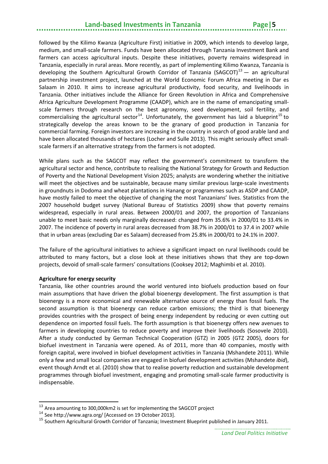# **Land-based Investments in Tanzania**

followed by the Kilimo Kwanza (Agriculture First) initiative in 2009, which intends to develop large, medium, and small-scale farmers. Funds have been allocated through Tanzania Investment Bank and farmers can access agricultural inputs. Despite these initiatives, poverty remains widespread in Tanzania, especially in rural areas. More recently, as part of implementing Kilimo Kwanza, Tanzania is developing the Southern Agricultural Growth Corridor of Tanzania (SAGCOT)<sup>[13](#page-10-0)</sup> — an agricultural partnership investment project, launched at the World Economic Forum Africa meeting in Dar es Salaam in 2010. It aims to increase agricultural productivity, food security, and livelihoods in Tanzania. Other initiatives include the Alliance for Green Revolution in Africa and Comprehensive Africa Agriculture Development Programme (CAADP), which are in the name of emancipating smallscale farmers through research on the best agronomy, seed development, soil fertility, and commercialising the agricultural sector<sup>[14](#page-10-1)</sup>. Unfortunately, the government has laid a blueprint<sup>[15](#page-10-2)</sup> to strategically develop the areas known to be the granary of good production in Tanzania for commercial farming. Foreign investors are increasing in the country in search of good arable land and have been allocated thousands of hectares (Locher and Sulle 2013). This might seriously affect smallscale farmers if an alternative strategy from the farmers is not adopted.

While plans such as the SAGCOT may reflect the government's commitment to transform the agricultural sector and hence, contribute to realising the National Strategy for Growth and Reduction of Poverty and the National Development Vision 2025; analysts are wondering whether the initiative will meet the objectives and be sustainable, because many similar previous large-scale investments in groundnuts in Dodoma and wheat plantations in Hanang or programmes such as ASDP and CAADP, have mostly failed to meet the objective of changing the most Tanzanians' lives. Statistics from the 2007 household budget survey (National Bureau of Statistics 2009) show that poverty remains widespread, especially in rural areas. Between 2000/01 and 2007, the proportion of Tanzanians unable to meet basic needs only marginally decreased: changed from 35.6% in 2000/01 to 33.4% in 2007. The incidence of poverty in rural areas decreased from 38.7% in 2000/01 to 37.4 in 2007 while that in urban areas (excluding Dar es Salaam) decreased from 25.8% in 2000/01 to 24.1% in 2007.

The failure of the agricultural initiatives to achieve a significant impact on rural livelihoods could be attributed to many factors, but a close look at these initiatives shows that they are top-down projects, devoid of small-scale farmers' consultations (Cooksey 2012; Maghimbi et al. 2010).

#### **Agriculture for energy security**

Tanzania, like other countries around the world ventured into biofuels production based on four main assumptions that have driven the global bioenergy development. The first assumption is that bioenergy is a more economical and renewable alternative source of energy than fossil fuels. The second assumption is that bioenergy can reduce carbon emissions; the third is that bioenergy provides countries with the prospect of being energy independent by reducing or even cutting out dependence on imported fossil fuels. The forth assumption is that bioenergy offers new avenues to farmers in developing countries to reduce poverty and improve their livelihoods (Sosovele 2010). After a study conducted by German Technical Cooperation (GTZ) in 2005 (GTZ 2005), doors for biofuel investment in Tanzania were opened. As of 2011, more than 40 companies, mostly with foreign capital, were involved in biofuel development activities in Tanzania (Mshandete 2011). While only a few and small local companies are engaged in biofuel development activities (Mshandete *ibid*), event though Arndt et al. (2010) show that to realise poverty reduction and sustainable development programmes through biofuel investment, engaging and promoting small-scale farmer productivity is indispensable.

<span id="page-10-0"></span><sup>&</sup>lt;sup>13</sup> Area amounting to 300,000km2 is set for implementing the SAGCOT project

<span id="page-10-1"></span><sup>14</sup> Se[e http://www.agra.org/](http://www.agra.org/) [Accessed on 19 October 2013].

<span id="page-10-2"></span><sup>&</sup>lt;sup>15</sup> Southern Agricultural Growth Corridor of Tanzania; Investment Blueprint published in January 2011.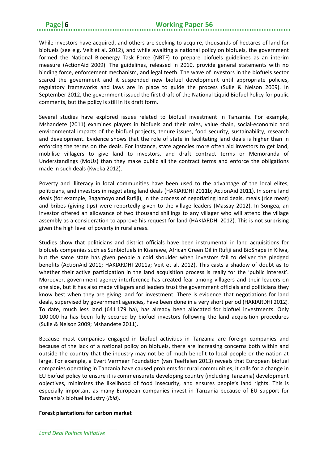While investors have acquired, and others are seeking to acquire, thousands of hectares of land for biofuels (see e.g. Veit et al. 2012), and while awaiting a national policy on biofuels, the government formed the National Bioenergy Task Force (NBTF) to prepare biofuels guidelines as an interim measure (ActionAid 2009). The guidelines, released in 2010, provide general statements with no binding force, enforcement mechanism, and legal teeth. The wave of investors in the biofuels sector scared the government and it suspended new biofuel development until appropriate policies, regulatory frameworks and laws are in place to guide the process (Sulle & Nelson 2009). In September 2012, the government issued the first draft of the National Liquid Biofuel Policy for public comments, but the policy is still in its draft form.

Several studies have explored issues related to biofuel investment in Tanzania. For example, Mshandete (2011) examines players in biofuels and their roles, value chain, social-economic and environmental impacts of the biofuel projects, tenure issues, food security, sustainability, research and development. Evidence shows that the role of state in facilitating land deals is higher than in enforcing the terms on the deals. For instance, state agencies more often aid investors to get land, mobilise villagers to give land to investors, and draft contract terms or Memoranda of Understandings (MoUs) than they make public all the contract terms and enforce the obligations made in such deals (Kweka 2012).

Poverty and illiteracy in local communities have been used to the advantage of the local elites, politicians, and investors in negotiating land deals (HAKIARDHI 2011b; ActionAid 2011). In some land deals (for example, Bagamoyo and Rufiji), in the process of negotiating land deals, meals (rice meat) and bribes (giving tips) were reportedly given to the village leaders (Massay 2012). In Songea, an investor offered an allowance of two thousand shillings to any villager who will attend the village assembly as a consideration to approve his request for land (HAKIARDHI 2012). This is not surprising given the high level of poverty in rural areas.

Studies show that politicians and district officials have been instrumental in land acquisitions for biofuels companies such as Sunbiofuels in Kisarawe, African Green Oil in Rufiji and BioShape in Kilwa, but the same state has given people a cold shoulder when investors fail to deliver the pledged benefits (ActionAid 2011; HAKIARDHI 2011a; Veit et al. 2012). This casts a shadow of doubt as to whether their active participation in the land acquisition process is really for the 'public interest'. Moreover, government agency interference has created fear among villagers and their leaders on one side, but it has also made villagers and leaders trust the government officials and politicians they know best when they are giving land for investment. There is evidence that negotiations for land deals, supervised by government agencies, have been done in a very short period (HAKIARDHI 2012). To date, much less land (641 179 ha), has already been allocated for biofuel investments. Only 100 000 ha has been fully secured by biofuel investors following the land acquisition procedures (Sulle & Nelson 2009; Mshandete 2011).

Because most companies engaged in biofuel activities in Tanzania are foreign companies and because of the lack of a national policy on biofuels, there are increasing concerns both within and outside the country that the industry may not be of much benefit to local people or the nation at large. For example, a Evert Vermeer Foundation (van Teeffelen 2013) reveals that European biofuel companies operating in Tanzania have caused problems for rural communities; it calls for a change in EU biofuel policy to ensure it is commensurate developing country (including Tanzania) development objectives, minimises the likelihood of food insecurity, and ensures people's land rights. This is especially important as many European companies invest in Tanzania because of EU support for Tanzania's biofuel industry (*ibid*).

#### **Forest plantations for carbon market**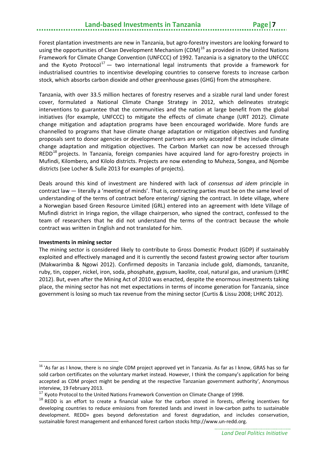# **Land-based Investments in Tanzania Page|7**

Forest plantation investments are new in Tanzania, but agro-forestry investors are looking forward to using the opportunities of Clean Development Mechanism (CDM)<sup>[16](#page-12-0)</sup> as provided in the United Nations Framework for Climate Change Convention (UNFCCC) of 1992. Tanzania is a signatory to the UNFCCC and the Kyoto Protocol<sup>[17](#page-12-1)</sup> — two international legal instruments that provide a framework for industrialised countries to incentivise developing countries to conserve forests to increase carbon stock, which absorbs carbon dioxide and other greenhouse gases (GHG) from the atmosphere.

Tanzania, with over 33.5 million hectares of forestry reserves and a sizable rural land under forest cover, formulated a National Climate Change Strategy in 2012, which delineates strategic interventions to guarantee that the communities and the nation at large benefit from the global initiatives (for example, UNFCCC) to mitigate the effects of climate change (URT 2012). Climate change mitigation and adaptation programs have been encouraged worldwide. More funds are channelled to programs that have climate change adaptation or mitigation objectives and funding proposals sent to donor agencies or development partners are only accepted if they include climate change adaptation and mitigation objectives. The Carbon Market can now be accessed through REDD<sup>[18](#page-12-2)</sup> projects. In Tanzania, foreign companies have acquired land for agro-forestry projects in Mufindi, Kilombero, and Kilolo districts. Projects are now extending to Muheza, Songea, and Njombe districts (see Locher & Sulle 2013 for examples of projects).

Deals around this kind of investment are hindered with lack of *consensus ad idem* principle in contract law — literally a 'meeting of minds'. That is, contracting parties must be on the same level of understanding of the terms of contract before entering/ signing the contract. In Idete village, where a Norwegian based Green Resource Limited (GRL) entered into an agreement with Idete Village of Mufindi district in Iringa region, the village chairperson, who signed the contract, confessed to the team of researchers that he did not understand the terms of the contract because the whole contract was written in English and not translated for him.

#### **Investments in mining sector**

The mining sector is considered likely to contribute to Gross Domestic Product (GDP) if sustainably exploited and effectively managed and it is currently the second fastest growing sector after tourism (Makwarimba & Ngowi 2012). Confirmed deposits in Tanzania include gold, diamonds, tanzanite, ruby, tin, copper, nickel, iron, soda, phosphate, gypsum, kaolite, coal, natural gas, and uranium (LHRC 2012). But, even after the Mining Act of 2010 was enacted, despite the enormous investments taking place, the mining sector has not met expectations in terms of income generation for Tanzania, since government is losing so much tax revenue from the mining sector (Curtis & Lissu 2008; LHRC 2012).

<span id="page-12-0"></span><sup>&</sup>lt;sup>16</sup> 'As far as I know, there is no single CDM project approved yet in Tanzania. As far as I know, GRAS has so far sold carbon certificates on the voluntary market instead. However, I think the company's application for being accepted as CDM project might be pending at the respective Tanzanian government authority', Anonymous interview, 19 February 2013.

<span id="page-12-1"></span><sup>&</sup>lt;sup>17</sup> Kyoto Protocol to the United Nations Framework Convention on Climate Change of 1998.

<span id="page-12-2"></span><sup>&</sup>lt;sup>18</sup> REDD is an effort to create a financial value for the carbon stored in forests, offering incentives for developing countries to reduce emissions from forested lands and invest in low-carbon paths to sustainable development. REDD+ goes beyond deforestation and forest degradation, and includes conservation, sustainable forest management and enhanced forest carbon stocks [http://www.un-redd.org.](http://www.un-redd.org/)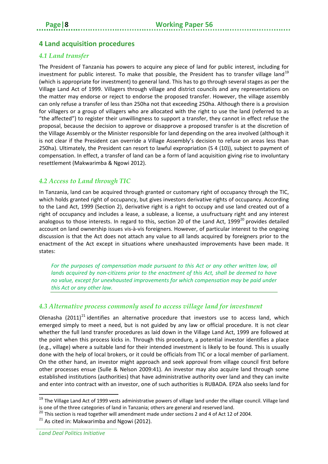### <span id="page-13-0"></span>**4 Land acquisition procedures**

#### <span id="page-13-1"></span>*4.1 Land transfer*

The President of Tanzania has powers to acquire any piece of land for public interest, including for investment for public interest. To make that possible, the President has to transfer village land<sup>[19](#page-13-4)</sup> (which is appropriate for investment) to general land. This has to go through several stages as per the Village Land Act of 1999. Villagers through village and district councils and any representations on the matter may endorse or reject to endorse the proposed transfer. However, the village assembly can only refuse a transfer of less than 250ha not that exceeding 250ha. Although there is a provision for villagers or a group of villagers who are allocated with the right to use the land (referred to as "the affected") to register their unwillingness to support a transfer, they cannot in effect refuse the proposal, because the decision to approve or disapprove a proposed transfer is at the discretion of the Village Assembly or the Minister responsible for land depending on the area involved (although it is not clear if the President can override a Village Assembly's decision to refuse on areas less than 250ha). Ultimately, the President can resort to lawful expropriation (S 4 (10)), subject to payment of compensation. In effect, a transfer of land can be a form of land acquisition giving rise to involuntary resettlement (Makwarimba & Ngowi 2012).

#### <span id="page-13-2"></span>*4.2 Access to Land through TIC*

In Tanzania, land can be acquired through granted or customary right of occupancy through the TIC, which holds granted right of occupancy, but gives investors derivative rights of occupancy. According to the Land Act, 1999 (Section 2), derivative right is a right to occupy and use land created out of a right of occupancy and includes a lease, a sublease, a license, a usufructuary right and any interest analogous to those interests. In regard to this, section [20](#page-13-5) of the Land Act, 1999 $^{20}$  provides detailed account on land ownership issues vis-à-vis foreigners. However, of particular interest to the ongoing discussion is that the Act does not attach any value to all lands acquired by foreigners prior to the enactment of the Act except in situations where unexhausted improvements have been made. It states:

For the purposes of compensation made pursuant to this Act or any other written law, all *lands acquired by non-citizens prior to the enactment of this Act, shall be deemed to have no value, except for unexhausted improvements for which compensation may be paid under this Act or any other law.*

#### <span id="page-13-3"></span>*4.3 Alternative process commonly used to access village land for investment*

Olenasha  $(2011)^{21}$  $(2011)^{21}$  $(2011)^{21}$  identifies an alternative procedure that investors use to access land, which emerged simply to meet a need, but is not guided by any law or official procedure. It is not clear whether the full land transfer procedures as laid down in the Village Land Act, 1999 are followed at the point when this process kicks in. Through this procedure, a potential investor identifies a place (e.g., village) where a suitable land for their intended investment is likely to be found. This is usually done with the help of local brokers, or it could be officials from TIC or a local member of parliament. On the other hand, an investor might approach and seek approval from village council first before other processes ensue (Sulle & Nelson 2009:41). An investor may also acquire land through some established institutions (authorities) that have administrative authority over land and they can invite and enter into contract with an investor, one of such authorities is RUBADA. EPZA also seeks land for

<span id="page-13-4"></span><sup>&</sup>lt;sup>19</sup> The Village Land Act of 1999 vests administrative powers of village land under the village council. Village land

is one of the three categories of land in Tanzania; others are general and reserved land.<br><sup>20</sup> This section is read together will amendment made under sections 2 and 4 of Act 12 of 2004.

 $21$  As cited in: Makwarimba and Ngowi (2012).

<span id="page-13-6"></span><span id="page-13-5"></span>*Land Deal Politics Initiative*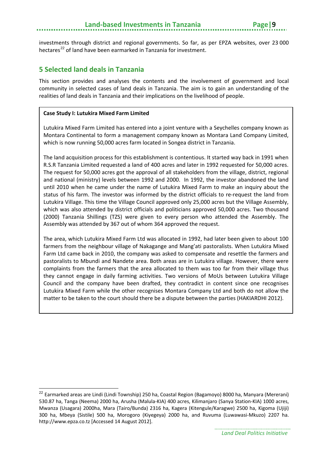investments through district and regional governments. So far, as per EPZA websites, over 23 000 hectares<sup>[22](#page-14-1)</sup> of land have been earmarked in Tanzania for investment.

#### <span id="page-14-0"></span>**5 Selected land deals in Tanzania**

This section provides and analyses the contents and the involvement of government and local community in selected cases of land deals in Tanzania. The aim is to gain an understanding of the realities of land deals in Tanzania and their implications on the livelihood of people.

#### **Case Study I: Lutukira Mixed Farm Limited**

Lutukira Mixed Farm Limited has entered into a joint venture with a Seychelles company known as Montara Continental to form a management company known as Montara Land Company Limited, which is now running 50,000 acres farm located in Songea district in Tanzania.

The land acquisition process for this establishment is contentious. It started way back in 1991 when R.S.R Tanzania Limited requested a land of 400 acres and later in 1992 requested for 50,000 acres. The request for 50,000 acres got the approval of all stakeholders from the village, district, regional and national (ministry) levels between 1992 and 2000. In 1992, the investor abandoned the land until 2010 when he came under the name of Lutukira Mixed Farm to make an inquiry about the status of his farm. The investor was informed by the district officials to re-request the land from Lutukira Village. This time the Village Council approved only 25,000 acres but the Village Assembly, which was also attended by district officials and politicians approved 50,000 acres. Two thousand (2000) Tanzania Shillings (TZS) were given to every person who attended the Assembly. The Assembly was attended by 367 out of whom 364 approved the request.

The area, which Lutukira Mixed Farm Ltd was allocated in 1992, had later been given to about 100 farmers from the neighbour village of Nakagange and Mang'ati pastoralists. When Lutukira Mixed Farm Ltd came back in 2010, the company was asked to compensate and resettle the farmers and pastoralists to Mbundi and Nandete area. Both areas are in Lutukira village. However, there were complaints from the farmers that the area allocated to them was too far from their village thus they cannot engage in daily farming activities. Two versions of MoUs between Lutukira Village Council and the company have been drafted, they contradict in content since one recognises Lutukira Mixed Farm while the other recognises Montara Company Ltd and both do not allow the matter to be taken to the court should there be a dispute between the parties (HAKIARDHI 2012).

<span id="page-14-1"></span><sup>&</sup>lt;sup>22</sup> Earmarked areas are Lindi (Lindi Township) 250 ha, Coastal Region (Bagamoyo) 8000 ha, Manyara (Mererani) 530.87 ha, Tanga (Neema) 2000 ha, Arusha (Malula-KIA) 400 acres, Kilimanjaro (Sanya Station-KIA) 1000 acres, Mwanza (Usagara) 2000ha, Mara (Tairo/Bunda) 2316 ha, Kagera (Kitengule/Karagwe) 2500 ha, Kigoma (Ujiji) 300 ha, Mbeya (Sistile) 500 ha, Morogoro (Kiyegeya) 2000 ha, and Ruvuma (Luwawasi-Mkuzo) 2207 ha. [http://www.epza.co.tz](http://www.epza.co.tz/) [Accessed 14 August 2012].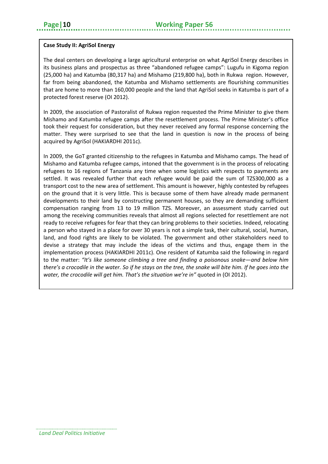#### **Case Study II: AgriSol Energy**

The deal centers on developing a large agricultural enterprise on what AgriSol Energy describes in its business plans and prospectus as three "abandoned refugee camps": Lugufu in Kigoma region (25,000 ha) and Katumba (80,317 ha) and Mishamo (219,800 ha), both in Rukwa region. However, far from being abandoned, the Katumba and Mishamo settlements are flourishing communities that are home to more than 160,000 people and the land that AgriSol seeks in Katumba is part of a protected forest reserve (OI 2012).

In 2009, the association of Pastoralist of Rukwa region requested the Prime Minister to give them Mishamo and Katumba refugee camps after the resettlement process. The Prime Minister's office took their request for consideration, but they never received any formal response concerning the matter. They were surprised to see that the land in question is now in the process of being acquired by AgriSol (HAKIARDHI 2011c).

In 2009, the GoT granted citizenship to the refugees in Katumba and Mishamo camps. The head of Mishamo and Katumba refugee camps, intoned that the government is in the process of relocating refugees to 16 regions of Tanzania any time when some logistics with respects to payments are settled. It was revealed further that each refugee would be paid the sum of TZS300,000 as a transport cost to the new area of settlement. This amount is however, highly contested by refugees on the ground that it is very little. This is because some of them have already made permanent developments to their land by constructing permanent houses, so they are demanding sufficient compensation ranging from 13 to 19 million TZS. Moreover, an assessment study carried out among the receiving communities reveals that almost all regions selected for resettlement are not ready to receive refugees for fear that they can bring problems to their societies. Indeed, relocating a person who stayed in a place for over 30 years is not a simple task, their cultural, social, human, land, and food rights are likely to be violated. The government and other stakeholders need to devise a strategy that may include the ideas of the victims and thus, engage them in the implementation process (HAKIARDHI 2011c). One resident of Katumba said the following in regard to the matter: *"It's like someone climbing a tree and finding a poisonous snake—and below him there's a crocodile in the water. So if he stays on the tree, the snake will bite him. If he goes into the water, the crocodile will get him. That's the situation we're in"* quoted in (OI 2012).

*Land Deal Politics Initiative*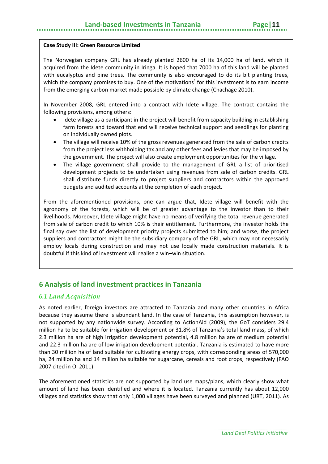#### **Case Study III: Green Resource Limited**

The Norwegian company GRL has already planted 2600 ha of its 14,000 ha of land, which it acquired from the Idete community in Iringa. It is hoped that 7000 ha of this land will be planted with eucalyptus and pine trees. The community is also encouraged to do its bit planting trees, which the company promises to buy. One of the motivations<sup>1</sup> for this investment is to earn income from the emerging carbon market made possible by climate change (Chachage 2010).

In November 2008, GRL entered into a contract with Idete village. The contract contains the following provisions, among others:

- Idete village as a participant in the project will benefit from capacity building in establishing farm forests and toward that end will receive technical support and seedlings for planting on individually owned plots.
- The village will receive 10% of the gross revenues generated from the sale of carbon credits from the project less withholding tax and any other fees and levies that may be imposed by the government. The project will also create employment opportunities for the village.
- The village government shall provide to the management of GRL a list of prioritised development projects to be undertaken using revenues from sale of carbon credits. GRL shall distribute funds directly to project suppliers and contractors within the approved budgets and audited accounts at the completion of each project.

From the aforementioned provisions, one can argue that, Idete village will benefit with the agronomy of the forests, which will be of greater advantage to the investor than to their livelihoods. Moreover, Idete village might have no means of verifying the total revenue generated from sale of carbon credit to which 10% is their entitlement. Furthermore, the investor holds the final say over the list of development priority projects submitted to him; and worse, the project suppliers and contractors might be the subsidiary company of the GRL, which may not necessarily employ locals during construction and may not use locally made construction materials. It is doubtful if this kind of investment will realise a win–win situation.

### <span id="page-16-0"></span>**6 Analysis of land investment practices in Tanzania**

#### <span id="page-16-1"></span>*6.1 Land Acquisition*

As noted earlier, foreign investors are attracted to Tanzania and many other countries in Africa because they assume there is abundant land. In the case of Tanzania, this assumption however, is not supported by any nationwide survey. According to ActionAid (2009), the GoT considers 29.4 million ha to be suitable for irrigation development or 31.8% of Tanzania's total land mass, of which 2.3 million ha are of high irrigation development potential, 4.8 million ha are of medium potential and 22.3 million ha are of low irrigation development potential. Tanzania is estimated to have more than 30 million ha of land suitable for cultivating energy crops, with corresponding areas of 570,000 ha, 24 million ha and 14 million ha suitable for sugarcane, cereals and root crops, respectively (FAO 2007 cited in OI 2011).

The aforementioned statistics are not supported by land use maps/plans, which clearly show what amount of land has been identified and where it is located. Tanzania currently has about 12,000 villages and statistics show that only 1,000 villages have been surveyed and planned (URT, 2011). As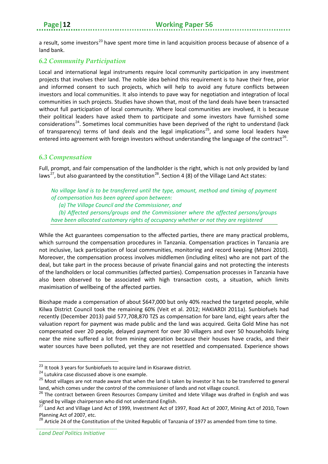a result, some investors<sup>[23](#page-17-2)</sup> have spent more time in land acquisition process because of absence of a land bank.

#### <span id="page-17-0"></span>*6.2 Community Participation*

Local and international legal instruments require local community participation in any investment projects that involves their land. The noble idea behind this requirement is to have their free, prior and informed consent to such projects, which will help to avoid any future conflicts between investors and local communities. It also intends to pave way for negotiation and integration of local communities in such projects. Studies have shown that, most of the land deals have been transacted without full participation of local community. Where local communities are involved, it is because their political leaders have asked them to participate and some investors have furnished some considerations<sup>[24](#page-17-3)</sup>. Sometimes local communities have been deprived of the right to understand (lack of transparency) terms of land deals and the legal implications<sup>[25](#page-17-4)</sup>, and some local leaders have entered into agreement with foreign investors without understanding the language of the contract<sup>[26](#page-17-5)</sup>.

#### <span id="page-17-1"></span>*6.3 Compensation*

Full, prompt, and fair compensation of the landholder is the right, which is not only provided by land laws<sup>[27](#page-17-6)</sup>, but also guaranteed by the constitution<sup>[28](#page-17-7)</sup>. Section 4 (8) of the Village Land Act states:

*No village land is to be transferred until the type, amount, method and timing of payment of compensation has been agreed upon between:* 

*(a) The Village Council and the Commissioner, and* 

*(b) Affected persons/groups and the Commissioner where the affected persons/groups have been allocated customary rights of occupancy whether or not they are registered* 

While the Act guarantees compensation to the affected parties, there are many practical problems, which surround the compensation procedures in Tanzania. Compensation practices in Tanzania are not inclusive, lack participation of local communities, monitoring and record keeping (Mtoni 2010). Moreover, the compensation process involves middlemen (including elites) who are not part of the deal, but take part in the process because of private financial gains and not protecting the interests of the landholders or local communities (affected parties). Compensation processes in Tanzania have also been observed to be associated with high transaction costs, a situation, which limits maximisation of wellbeing of the affected parties.

Bioshape made a compensation of about \$647,000 but only 40% reached the targeted people, while Kilwa District Council took the remaining 60% (Veit et al. 2012; HAKIARDI 2011a). Sunbiofuels had recently (December 2013) paid 577,708,870 TZS as compensation for bare land, eight years after the valuation report for payment was made public and the land was acquired. Geita Gold Mine has not compensated over 20 people, delayed payment for over 30 villagers and over 50 households living near the mine suffered a lot from mining operation because their houses have cracks, and their water sources have been polluted, yet they are not resettled and compensated. Experience shows

<span id="page-17-2"></span><sup>&</sup>lt;sup>23</sup> It took 3 years for Sunbiofuels to acquire land in Kisarawe district.

<span id="page-17-3"></span><sup>&</sup>lt;sup>24</sup> Lutukira case discussed above is one example.

<span id="page-17-4"></span> $25$  Most villages are not made aware that when the land is taken by investor it has to be transferred to general

<span id="page-17-5"></span>land, which comes under the control of the commissioner of lands and not village council.<br><sup>26</sup> The contract between Green Resources Company Limited and Idete Village was drafted in English and was signed by village chairperson who did not understand English.

<span id="page-17-6"></span><sup>&</sup>lt;sup>27</sup> Land Act and Village Land Act of 1999, Investment Act of 1997, Road Act of 2007, Mining Act of 2010, Town Planning Act of 2007, etc.

<span id="page-17-7"></span><sup>&</sup>lt;sup>28</sup> Article 24 of the Constitution of the United Republic of Tanzania of 1977 as amended from time to time.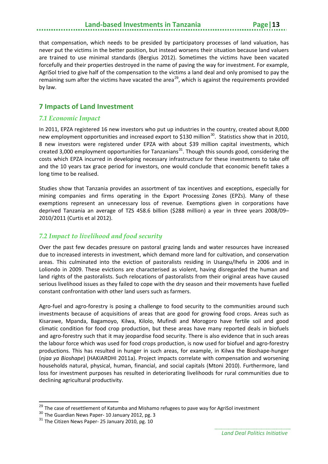# **Land-based Investments in Tanzania**

that compensation, which needs to be presided by participatory processes of land valuation, has never put the victims in the better position, but instead worsens their situation because land valuers are trained to use minimal standards (Bergius 2012). Sometimes the victims have been vacated forcefully and their properties destroyed in the name of paving the way for investment. For example, AgriSol tried to give half of the compensation to the victims a land deal and only promised to pay the remaining sum after the victims have vacated the area<sup>[29](#page-18-3)</sup>, which is against the requirements provided by law.

#### <span id="page-18-0"></span>**7 Impacts of Land Investment**

#### <span id="page-18-1"></span>*7.1 Economic Impact*

In 2011, EPZA registered 16 new investors who put up industries in the country, created about 8,000 new employment opportunities and increased export to \$1[30](#page-18-4) million<sup>30</sup>. Statistics show that in 2010, 8 new investors were registered under EPZA with about \$39 million capital investments, which created 3,000 employment opportunities for Tanzanians<sup>[31](#page-18-5)</sup>. Though this sounds good, considering the costs which EPZA incurred in developing necessary infrastructure for these investments to take off and the 10 years tax grace period for investors, one would conclude that economic benefit takes a long time to be realised.

Studies show that Tanzania provides an assortment of tax incentives and exceptions, especially for mining companies and firms operating in the Export Processing Zones (EPZs). Many of these exemptions represent an unnecessary loss of revenue. Exemptions given in corporations have deprived Tanzania an average of TZS 458.6 billion (\$288 million) a year in three years 2008/09– 2010/2011 (Curtis et al 2012).

#### <span id="page-18-2"></span>*7.2 Impact to livelihood and food security*

Over the past few decades pressure on pastoral grazing lands and water resources have increased due to increased interests in investment, which demand more land for cultivation, and conservation areas. This culminated into the eviction of pastoralists residing in Usangu/Ihefu in 2006 and in Loliondo in 2009. These evictions are characterised as violent, having disregarded the human and land rights of the pastoralists. Such relocations of pastoralists from their original areas have caused serious livelihood issues as they failed to cope with the dry season and their movements have fuelled constant confrontation with other land users such as farmers.

Agro-fuel and agro-forestry is posing a challenge to food security to the communities around such investments because of acquisitions of areas that are good for growing food crops. Areas such as Kisarawe, Mpanda, Bagamoyo, Kilwa, Kilolo, Mufindi and Morogoro have fertile soil and good climatic condition for food crop production, but these areas have many reported deals in biofuels and agro-forestry such that it may jeopardise food security. There is also evidence that in such areas the labour force which was used for food crops production, is now used for biofuel and agro-forestry productions. This has resulted in hunger in such areas, for example, in Kilwa the Bioshape-hunger (*njaa ya Bioshape*) (HAKIARDHI 2011a). Project impacts correlate with compensation and worsening households natural, physical, human, financial, and social capitals (Mtoni 2010). Furthermore, land loss for investment purposes has resulted in deteriorating livelihoods for rural communities due to declining agricultural productivity.

<sup>&</sup>lt;sup>29</sup> The case of resettlement of Katumba and Mishamo refugees to pave way for AgriSol investment

<span id="page-18-4"></span><span id="page-18-3"></span><sup>&</sup>lt;sup>30</sup> The Guardian News Paper- 10 January 2012, pg. 3

<span id="page-18-5"></span> $31$  The Citizen News Paper- 25 January 2010, pg. 10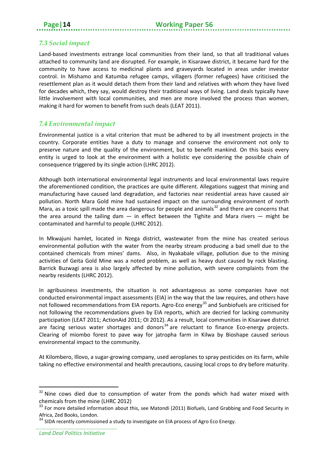#### <span id="page-19-0"></span>*7.3 Social impact*

Land-based investments estrange local communities from their land, so that all traditional values attached to community land are disrupted. For example, in Kisarawe district, it became hard for the community to have access to medicinal plants and graveyards located in areas under investor control. In Mishamo and Katumba refugee camps, villagers (former refugees) have criticised the resettlement plan as it would detach them from their land and relatives with whom they have lived for decades which, they say, would destroy their traditional ways of living. Land deals typically have little involvement with local communities, and men are more involved the process than women, making it hard for women to benefit from such deals (LEAT 2011).

#### <span id="page-19-1"></span>*7.4 Environmental impact*

Environmental justice is a vital criterion that must be adhered to by all investment projects in the country. Corporate entities have a duty to manage and conserve the environment not only to preserve nature and the quality of the environment, but to benefit mankind. On this basis every entity is urged to look at the environment with a holistic eye considering the possible chain of consequence triggered by its single action (LHRC 2012).

Although both international environmental legal instruments and local environmental laws require the aforementioned condition, the practices are quite different. Allegations suggest that mining and manufacturing have caused land degradation, and factories near residential areas have caused air pollution. North Mara Gold mine had sustained impact on the surrounding environment of north Mara, as a toxic spill made the area dangerous for people and animals<sup>[32](#page-19-2)</sup> and there are concerns that the area around the tailing dam  $-$  in effect between the Tighite and Mara rivers  $-$  might be contaminated and harmful to people (LHRC 2012).

In Mkwajuni hamlet, located in Nzega district, wastewater from the mine has created serious environmental pollution with the water from the nearby stream producing a bad smell due to the contained chemicals from mines' dams. Also, in Nyakabale village, pollution due to the mining activities of Geita Gold Mine was a noted problem, as well as heavy dust caused by rock blasting. Barrick Buzwagi area is also largely affected by mine pollution, with severe complaints from the nearby residents (LHRC 2012).

In agribusiness investments, the situation is not advantageous as some companies have not conducted environmental impact assessments (EIA) in the way that the law requires, and others have not followed recommendations from EIA reports. Agro-Eco energy<sup>[33](#page-19-3)</sup> and Sunbiofuels are criticised for not following the recommendations given by EIA reports, which are decried for lacking community participation (LEAT 2011; ActionAid 2011; OI 2012). As a result, local communities in Kisarawe district are facing serious water shortages and donors<sup>[34](#page-19-4)</sup> are reluctant to finance Eco-energy projects. Clearing of miombo forest to pave way for jatropha farm in Kilwa by Bioshape caused serious environmental impact to the community.

At Kilombero, Illovo, a sugar-growing company, used aeroplanes to spray pesticides on its farm, while taking no effective environmental and health precautions, causing local crops to dry before maturity.

 $\overline{\phantom{a}}$ 

<span id="page-19-2"></span> $32$  Nine cows died due to consumption of water from the ponds which had water mixed with chemicals from the mine (LHRC 2012)

<span id="page-19-3"></span><sup>&</sup>lt;sup>33</sup> For more detailed information about this, see Matondi (2011) Biofuels, Land Grabbing and Food Security in Africa, Zed Books, London.

<span id="page-19-4"></span> $34$  SIDA recently commissioned a study to investigate on EIA process of Agro Eco Energy.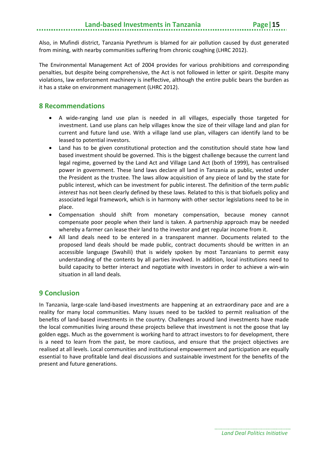Also, in Mufindi district, Tanzania Pyrethrum is blamed for air pollution caused by dust generated from mining, with nearby communities suffering from chronic coughing (LHRC 2012).

The Environmental Management Act of 2004 provides for various prohibitions and corresponding penalties, but despite being comprehensive, the Act is not followed in letter or spirit. Despite many violations, law enforcement machinery is ineffective, although the entire public bears the burden as it has a stake on environment management (LHRC 2012).

#### <span id="page-20-0"></span>**8 Recommendations**

- A wide-ranging land use plan is needed in all villages, especially those targeted for investment. Land use plans can help villages know the size of their village land and plan for current and future land use. With a village land use plan, villagers can identify land to be leased to potential investors.
- Land has to be given constitutional protection and the constitution should state how land based investment should be governed. This is the biggest challenge because the current land legal regime, governed by the Land Act and Village Land Act (both of 1999), has centralised power in government. These land laws declare all land in Tanzania as public, vested under the President as the trustee. The laws allow acquisition of any piece of land by the state for public interest, which can be investment for public interest. The definition of the term *public interest* has not been clearly defined by these laws. Related to this is that biofuels policy and associated legal framework, which is in harmony with other sector legislations need to be in place.
- Compensation should shift from monetary compensation, because money cannot compensate poor people when their land is taken. A partnership approach may be needed whereby a farmer can lease their land to the investor and get regular income from it.
- All land deals need to be entered in a transparent manner. Documents related to the proposed land deals should be made public, contract documents should be written in an accessible language (Swahili) that is widely spoken by most Tanzanians to permit easy understanding of the contents by all parties involved. In addition, local institutions need to build capacity to better interact and negotiate with investors in order to achieve a win-win situation in all land deals.

#### <span id="page-20-1"></span>**9 Conclusion**

In Tanzania, large-scale land-based investments are happening at an extraordinary pace and are a reality for many local communities. Many issues need to be tackled to permit realisation of the benefits of land-based investments in the country. Challenges around land investments have made the local communities living around these projects believe that investment is not the goose that lay golden eggs. Much as the government is working hard to attract investors to for development, there is a need to learn from the past, be more cautious, and ensure that the project objectives are realised at all levels. Local communities and institutional empowerment and participation are equally essential to have profitable land deal discussions and sustainable investment for the benefits of the present and future generations.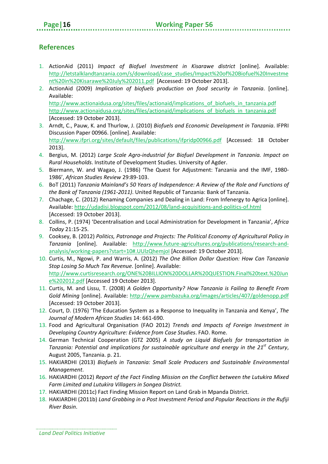#### <span id="page-21-0"></span>**References**

- 1. ActionAid (2011) *Impact of Biofuel Investment in Kisarawe district* [online]. Available: [http://letstalklandtanzania.com/s/download/case\\_studies/Impact%20of%20Biofuel%20Investme](http://letstalklandtanzania.com/s/download/case_studies/Impact%20of%20Biofuel%20Investment%20in%20Kisarawe%20July%202011.pdf) [nt%20in%20Kisarawe%20July%202011.pdf](http://letstalklandtanzania.com/s/download/case_studies/Impact%20of%20Biofuel%20Investment%20in%20Kisarawe%20July%202011.pdf) [Accessed: 19 October 2013].
- 2. ActionAid (2009) *Implication of biofuels production on food security in Tanzania*. [online]. Available: http://www.actionaidusa.org/sites/files/actionaid/implications of biofuels in tanzania.pdf [http://www.actionaidusa.org/sites/files/actionaid/implications\\_of\\_biofuels\\_in\\_tanzania.pdf](http://www.actionaidusa.org/sites/files/actionaid/implications_of_biofuels_in_tanzania.pdf) [Accessed: 19 October 2013].
- 3. Arndt, C., Pauw, K. and Thurlow, J. (2010) *Biofuels and Economic Development in Tanzania*. IFPRI Discussion Paper 00966. [online]. Available: <http://www.ifpri.org/sites/default/files/publications/ifpridp00966.pdf> [Accessed: 18 October 2013].
- 4. Bergius, M. (2012) *Large Scale Agro-industrial for Biofuel Development in Tanzania. Impact on Rural Households*. Institute of Development Studies. University of Agder.
- 5. Biermann, W. and Wagao, J. (1986) 'The Quest for Adjustment: Tanzania and the IMF, 1980- 1986', *African Studies Review* 29:89-103.
- 6. BoT (2011) *Tanzania Mainland's 50 Years of Independence: A Review of the Role and Functions of the Bank of Tanzania (1961-2011)*. United Republic of Tanzania: Bank of Tanzania.
- 7. Chachage, C. (2012) Renaming Companies and Dealing in Land: From Infenergy to Agrica [online]. Available: <http://udadisi.blogspot.com/2012/08/land-acquisitions-and-politics-of.html> [Accessed: 19 October 2013].
- 8. Collins, P. (1974) 'Decentralisation and Local Administration for Development in Tanzania', *Africa Today* 21:15-25.
- 9. Cooksey, B. (2012) *Politics, Patronage and Projects: The Political Economy of Agricultural Policy in Tanzania* [online]. Available: [http://www.future-agricultures.org/publications/research-and](http://www.future-agricultures.org/publications/research-and-analysis/working-papers?start=10%23.UUlzQhemjoI)[analysis/working-papers?start=10#.UUlzQhemjoI](http://www.future-agricultures.org/publications/research-and-analysis/working-papers?start=10%23.UUlzQhemjoI) [Accessed: 19 October 2013].
- 10. Curtis, M., Ngowi, P. and Warris, A. (2012) *The One Billion Dollar Question: How Can Tanzania Stop Losing So Much Tax Revenue*. [online]. Available: [http://www.curtisresearch.org/ONE%20BILLION%20DOLLAR%20QUESTION.Final%20text.%20Jun](http://www.curtisresearch.org/ONE%20BILLION%20DOLLAR%20QUESTION.Final%20text.%20June%202012.pdf) [e%202012.pdf](http://www.curtisresearch.org/ONE%20BILLION%20DOLLAR%20QUESTION.Final%20text.%20June%202012.pdf) [Accessed 19 October 2013].
- 11. Curtis, M. and Lissu, T. (2008) *A Golden Opportunity? How Tanzania is Failing to Benefit From Gold Mining* [online]. Available: <http://www.pambazuka.org/images/articles/407/goldenopp.pdf> [Accessed: 19 October 2013].
- 12. Court, D. (1976) 'The Education System as a Response to Inequality in Tanzania and Kenya', *The Journal of Modern African Studies* 14: 661-690.
- 13. Food and Agricultural Organisation (FAO 2012) *Trends and Impacts of Foreign Investment in Developing Country Agriculture: Evidence from Case Studies*. FAO. Rome.
- 14. German Technical Cooperation (GTZ 2005) *A study on Liquid Biofuels for transportation in Tanzania: Potential and implications for sustainable agriculture and energy in the 21st Century*, August 2005, Tanzania. p. 21.
- 15. HAKIARDHI (2013) *Biofuels in Tanzania: Small Scale Producers and Sustainable Environmental Management*.
- 16. HAKIARDHI (2012) *Report of the Fact Finding Mission on the Conflict between the Lutukira Mixed Farm Limited and Lutukira Villagers in Songea District.*
- 17. HAKIARDHI (2011c) Fact Finding Mission Report on Land Grab in Mpanda District.
- 18. HAKIARDHI (2011b) *Land Grabbing in a Post Investment Period and Popular Reactions in the Rufiji River Basin*.

*Land Deal Politics Initiative*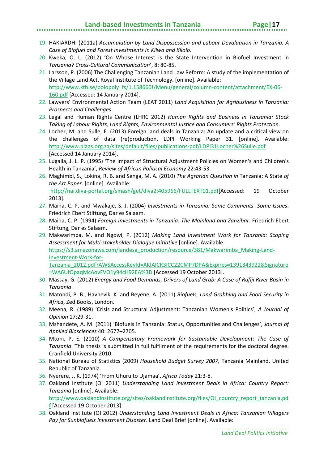#### **Land-based Investments in Tanzania Page|17**

- 19. HAKIARDHI (2011a) *Accumulation by Land Dispossession and Labour Devaluation in Tanzania. A Case of Biofuel and Forest Investments in Kilwa and Kilolo*.
- 20. Kweka, O. L. (2012) 'On Whose Interest is the State Intervention in Biofuel Investment in *Tanzania? Cross-Cultural Communication*', 8: 80-85.
- 21. Larsson, P. (2006) The Challenging Tanzanian Land Law Reform: A study of the implementation of the Village Land Act. Royal Institute of Technology. [online]. Available: [http://www.kth.se/polopoly\\_fs/1.158660!/Menu/general/column-content/attachment/EX-06-](http://www.kth.se/polopoly_fs/1.158660!/Menu/general/column-content/attachment/EX-06-160.pdf) [160.pdf](http://www.kth.se/polopoly_fs/1.158660!/Menu/general/column-content/attachment/EX-06-160.pdf) [Accessed: 14 January 2014].
- 22. Lawyers' Environmental Action Team (LEAT 2011) *Land Acquisition for Agribusiness in Tanzania: Prospects and Challenges*.
- 23. Legal and Human Rights Centre (LHRC 2012) *Human Rights and Business in Tanzania: Stock Taking of Labour Rights, Land Rights, Environmental Justice and Consumers' Rights Protection*.
- 24. Locher, M. and Sulle, E. (2013) Foreign land deals in Tanzania: An update and a critical view on the challenges of data (re)production. LDPI Working Paper 31. [online]. Available: <http://www.plaas.org.za/sites/default/files/publications-pdf/LDPI31Locher%26Sulle.pdf> [Accessed 14 January 2014].
- 25. Lugalla, J. L. P. (1995) 'The Impact of Structural Adjustment Policies on Women's and Children's Health in Tanzania', *Review of African Political Economy* 22:43-53.
- 26. Maghimbi, S., Lokina, R. B. and Senga, M. A. (2010) *The Agrarian Question in* Tanzania: A State *of the Art Paper*. [online]. Available: [http://nai.diva-portal.org/smash/get/diva2:405966/FULLTEXT01.pdf\[](http://nai.diva-portal.org/smash/get/diva2:405966/FULLTEXT01.pdf)Accessed: 19 October 2013].
- 27. Maina, C. P. and Mwakaje, S. J. (2004) *Investments in Tanzania: Some Comments- Some Issues*. Friedrich Ebert Stiftung, Dar es Salaam.
- 28. Maina, C. P. (1994) *Foreign Investments in Tanzania: The Mainland and Zanzibar*. Friedrich Ebert Stiftung, Dar es Salaam.
- 29. Makwarimba, M. and Ngowi, P. (2012) *Making Land Investment Work for Tanzania: Scoping Assessment for Multi-stakeholder Dialogue Initiative* [online]. Available: [https://s3.amazonaws.com/landesa\\_production/resource/381/Makwarimba\\_Making-Land-](https://s3.amazonaws.com/landesa_production/resource/381/Makwarimba_Making-Land-Investment-Work-for-Tanzania_2012.pdf?AWSAccessKeyId=AKIAICR3ICC22CMP7DPA&Expires=1391343922&Signature=WA6UfOpaqMcAovFVO1y94cH92EA%3D)[Investment-Work-for-](https://s3.amazonaws.com/landesa_production/resource/381/Makwarimba_Making-Land-Investment-Work-for-Tanzania_2012.pdf?AWSAccessKeyId=AKIAICR3ICC22CMP7DPA&Expires=1391343922&Signature=WA6UfOpaqMcAovFVO1y94cH92EA%3D)[Tanzania\\_2012.pdf?AWSAccessKeyId=AKIAICR3ICC22CMP7DPA&Expires=1391343922&Signature](https://s3.amazonaws.com/landesa_production/resource/381/Makwarimba_Making-Land-Investment-Work-for-Tanzania_2012.pdf?AWSAccessKeyId=AKIAICR3ICC22CMP7DPA&Expires=1391343922&Signature=WA6UfOpaqMcAovFVO1y94cH92EA%3D) [=WA6UfOpaqMcAovFVO1y94cH92EA%3D](https://s3.amazonaws.com/landesa_production/resource/381/Makwarimba_Making-Land-Investment-Work-for-Tanzania_2012.pdf?AWSAccessKeyId=AKIAICR3ICC22CMP7DPA&Expires=1391343922&Signature=WA6UfOpaqMcAovFVO1y94cH92EA%3D) [Accessed 19 October 2013].
- 30. Massay, G. (2012) *Energy and Food Demands, Drivers of Land Grab: A Case of Rufiji River Basin in Tanzania*.
- 31. Matondi, P. B., Havnevik, K. and Beyene, A. (2011) *Biofuels, Land Grabbing and Food Security in Africa*, Zed Books, London.
- 32. Meena, R. (1989) 'Crisis and Structural Adjustment: Tanzanian Women's Politics', *A Journal of Opinion* 17:29-31.
- 33. Mshandete, A. M. (2011) 'Biofuels in Tanzania: Status, Opportunities and Challenges', *Journal of Applied Biosciences* 40: 2677–2705.
- 34. Mtoni, P. E. (2010) *A Compensatory Framework for Sustainable Development: The Case of Tanzania*. This thesis is submitted in full fulfilment of the requirements for the doctoral degree. Cranfield University 2010.
- 35. National Bureau of Statistics (2009) *Household Budget Survey 2007,* Tanzania Mainland. United Republic of Tanzania.
- 36. Nyerere, J. K. (1974) 'From Uhuru to Ujamaa', *Africa Today* 21:3-8.
- 37. Oakland Institute (OI 2011) *Understanding Land Investment Deals in Africa: Country Report: Tanzania* [online]. Available:

[http://www.oaklandinstitute.org/sites/oaklandinstitute.org/files/OI\\_country\\_report\\_tanzania.pd](http://www.oaklandinstitute.org/sites/oaklandinstitute.org/files/OI_country_report_tanzania.pdf) [f](http://www.oaklandinstitute.org/sites/oaklandinstitute.org/files/OI_country_report_tanzania.pdf) [Accessed 19 October 2013].

38. Oakland Institute (OI 2012) *Understanding Land Investment Deals in Africa: Tanzanian Villagers Pay for Sunbiofuels Investment Disaster*. Land Deal Brief [online]. Available: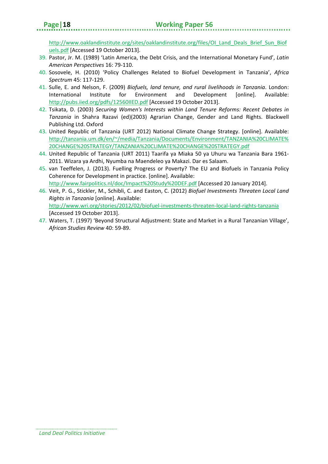[http://www.oaklandinstitute.org/sites/oaklandinstitute.org/files/OI\\_Land\\_Deals\\_Brief\\_Sun\\_Biof](http://www.oaklandinstitute.org/sites/oaklandinstitute.org/files/OI_Land_Deals_Brief_Sun_Biofuels.pdf) [uels.pdf](http://www.oaklandinstitute.org/sites/oaklandinstitute.org/files/OI_Land_Deals_Brief_Sun_Biofuels.pdf) [Accessed 19 October 2013].

- 39. Pastor, Jr. M. (1989) 'Latin America, the Debt Crisis, and the International Monetary Fund', *Latin American Perspectives* 16: 79-110.
- 40. Sosovele, H. (2010) 'Policy Challenges Related to Biofuel Development in Tanzania', *Africa Spectrum* 45: 117-129.
- 41. Sulle, E. and Nelson, F. (2009) *Biofuels, land tenure, and rural livelihoods in Tanzania*. London: International Institute for Environment and Development [online]. Available: <http://pubs.iied.org/pdfs/12560IIED.pdf> [Accessed 19 October 2013].
- 42. Tsikata, D. (2003) *Securing Women's Interests within Land Tenure Reforms: Recent Debates in Tanzania* in Shahra Razavi (ed)(2003) Agrarian Change, Gender and Land Rights. Blackwell Publishing Ltd. Oxford
- 43. United Republic of Tanzania (URT 2012) National Climate Change Strategy. [online]. Available: http://tanzania.um.dk/en/~/media/Tanzania/Documents/Environment/TANZANIA%20CLIMATE% 20CHANGE%20STRATEGY/TANZANIA%20CLIMATE%20CHANGE%20STRATEGY.pdf
- 44. United Republic of Tanzania (URT 2011) Taarifa ya Miaka 50 ya Uhuru wa Tanzania Bara 1961- 2011. Wizara ya Ardhi, Nyumba na Maendeleo ya Makazi. Dar es Salaam.
- 45. van Teeffelen, J. (2013). Fuelling Progress or Poverty? The EU and Biofuels in Tanzania Policy Coherence for Development in practice. [online]. Available: <http://www.fairpolitics.nl/doc/Impact%20Study%20DEF.pdf> [Accessed 20 January 2014].
- 46. Veit, P. G., Stickler, M., Schibli, C. and Easton, C. (2012) *Biofuel Investments Threaten Local Land Rights in Tanzania* [online]. Available: <http://www.wri.org/stories/2012/02/biofuel-investments-threaten-local-land-rights-tanzania> [Accessed 19 October 2013].
- 47. Waters, T. (1997) 'Beyond Structural Adjustment: State and Market in a Rural Tanzanian Village', *African Studies Review* 40: 59-89.

*Land Deal Politics Initiative*